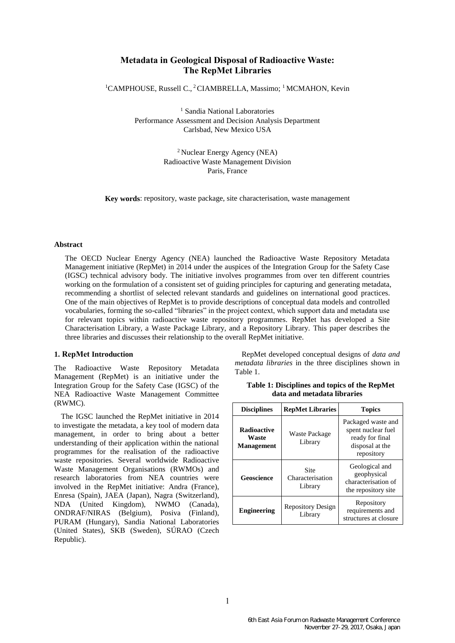# **Metadata in Geological Disposal of Radioactive Waste: The RepMet Libraries**

<sup>1</sup>CAMPHOUSE, Russell C.,<sup>2</sup>CIAMBRELLA, Massimo; <sup>1</sup>MCMAHON, Kevin

<sup>1</sup> Sandia National Laboratories Performance Assessment and Decision Analysis Department Carlsbad, New Mexico USA

> <sup>2</sup> Nuclear Energy Agency (NEA) Radioactive Waste Management Division Paris, France

**Key words**: repository, waste package, site characterisation, waste management

## **Abstract**

The OECD Nuclear Energy Agency (NEA) launched the Radioactive Waste Repository Metadata Management initiative (RepMet) in 2014 under the auspices of the Integration Group for the Safety Case (IGSC) technical advisory body. The initiative involves programmes from over ten different countries working on the formulation of a consistent set of guiding principles for capturing and generating metadata, recommending a shortlist of selected relevant standards and guidelines on international good practices. One of the main objectives of RepMet is to provide descriptions of conceptual data models and controlled vocabularies, forming the so-called "libraries" in the project context, which support data and metadata use for relevant topics within radioactive waste repository programmes. RepMet has developed a Site Characterisation Library, a Waste Package Library, and a Repository Library. This paper describes the three libraries and discusses their relationship to the overall RepMet initiative.

## **1. RepMet Introduction**

The Radioactive Waste Repository Metadata Management (RepMet) is an initiative under the Integration Group for the Safety Case (IGSC) of the NEA Radioactive Waste Management Committee (RWMC).

The IGSC launched the RepMet initiative in 2014 to investigate the metadata, a key tool of modern data management, in order to bring about a better understanding of their application within the national programmes for the realisation of the radioactive waste repositories. Several worldwide Radioactive Waste Management Organisations (RWMOs) and research laboratories from NEA countries were involved in the RepMet initiative: Andra (France), Enresa (Spain), JAEA (Japan), Nagra (Switzerland), NDA (United Kingdom), NWMO (Canada), ONDRAF/NIRAS (Belgium), Posiva (Finland), PURAM (Hungary), Sandia National Laboratories (United States), SKB (Sweden), SÚRAO (Czech Republic).

RepMet developed conceptual designs of *data and metadata libraries* in the three disciplines shown in Table 1.

<span id="page-0-0"></span>**Table 1: Disciplines and topics of the RepMet data and metadata libraries**

| <b>Disciplines</b>                               | <b>RepMet Libraries</b>                    | <b>Topics</b>                                                                                |
|--------------------------------------------------|--------------------------------------------|----------------------------------------------------------------------------------------------|
| <b>Radioactive</b><br>Waste<br><b>Management</b> | Waste Package<br>Library                   | Packaged waste and<br>spent nuclear fuel<br>ready for final<br>disposal at the<br>repository |
| Geoscience                                       | <b>Site</b><br>Characterisation<br>Library | Geological and<br>geophysical<br>characterisation of<br>the repository site                  |
| <b>Engineering</b>                               | <b>Repository Design</b><br>Library        | Repository<br>requirements and<br>structures at closure                                      |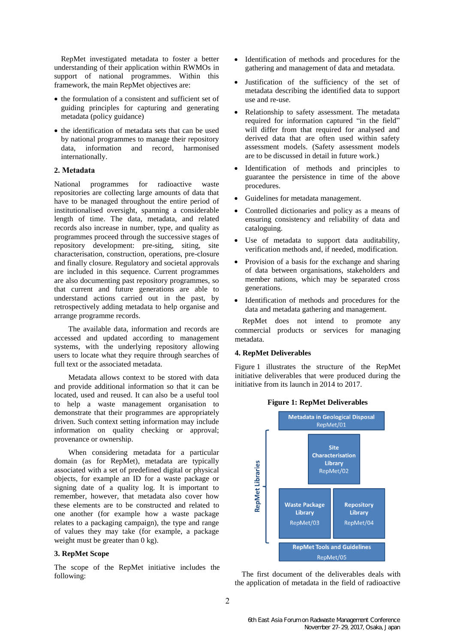RepMet investigated metadata to foster a better understanding of their application within RWMOs in support of national programmes. Within this framework, the main RepMet objectives are:

- the formulation of a consistent and sufficient set of guiding principles for capturing and generating metadata (policy guidance)
- the identification of metadata sets that can be used by national programmes to manage their repository data, information and record, harmonised internationally.

# **2. Metadata**

National programmes for radioactive waste repositories are collecting large amounts of data that have to be managed throughout the entire period of institutionalised oversight, spanning a considerable length of time. The data, metadata, and related records also increase in number, type, and quality as programmes proceed through the successive stages of repository development: pre-siting, siting, site characterisation, construction, operations, pre-closure and finally closure. Regulatory and societal approvals are included in this sequence. Current programmes are also documenting past repository programmes, so that current and future generations are able to understand actions carried out in the past, by retrospectively adding metadata to help organise and arrange programme records.

The available data, information and records are accessed and updated according to management systems, with the underlying repository allowing users to locate what they require through searches of full text or the associated metadata.

Metadata allows context to be stored with data and provide additional information so that it can be located, used and reused. It can also be a useful tool to help a waste management organisation to demonstrate that their programmes are appropriately driven. Such context setting information may include information on quality checking or approval; provenance or ownership.

When considering metadata for a particular domain (as for RepMet), metadata are typically associated with a set of predefined digital or physical objects, for example an ID for a waste package or signing date of a quality log. It is important to remember, however, that metadata also cover how these elements are to be constructed and related to one another (for example how a waste package relates to a packaging campaign), the type and range of values they may take (for example, a package weight must be greater than 0 kg).

### **3. RepMet Scope**

The scope of the RepMet initiative includes the following:

- Identification of methods and procedures for the gathering and management of data and metadata.
- Justification of the sufficiency of the set of metadata describing the identified data to support use and re-use.
- Relationship to safety assessment. The metadata required for information captured "in the field" will differ from that required for analysed and derived data that are often used within safety assessment models. (Safety assessment models are to be discussed in detail in future work.)
- Identification of methods and principles to guarantee the persistence in time of the above procedures.
- Guidelines for metadata management.
- Controlled dictionaries and policy as a means of ensuring consistency and reliability of data and cataloguing.
- Use of metadata to support data auditability, verification methods and, if needed, modification.
- Provision of a basis for the exchange and sharing of data between organisations, stakeholders and member nations, which may be separated cross generations.
- Identification of methods and procedures for the data and metadata gathering and management.

RepMet does not intend to promote any commercial products or services for managing metadata.

#### **4. RepMet Deliverables**

Figure 1 illustrates the structure of the RepMet initiative deliverables that were produced during the initiative from its launch in 2014 to 2017.



The first document of the deliverables deals with the application of metadata in the field of radioactive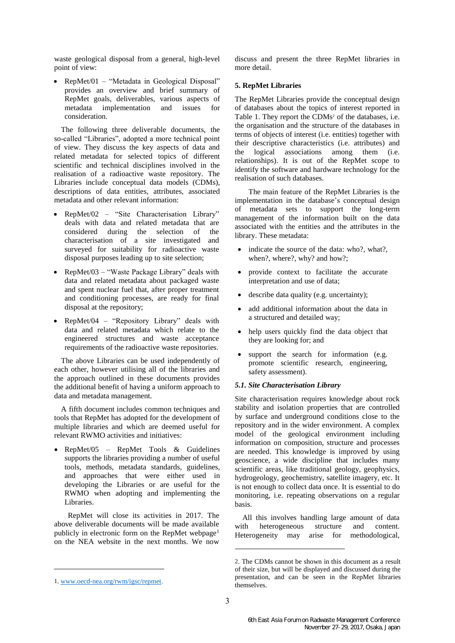waste geological disposal from a general, high-level point of view:

• RepMet/01 – "Metadata in Geological Disposal" provides an overview and brief summary of RepMet goals, deliverables, various aspects of metadata implementation and issues for implementation and issues for consideration.

The following three deliverable documents, the so-called "Libraries", adopted a more technical point of view. They discuss the key aspects of data and related metadata for selected topics of different scientific and technical disciplines involved in the realisation of a radioactive waste repository. The Libraries include conceptual data models (CDMs), descriptions of data entities, attributes, associated metadata and other relevant information:

- RepMet/02 "Site Characterisation Library" deals with data and related metadata that are considered during the selection of the characterisation of a site investigated and surveyed for suitability for radioactive waste disposal purposes leading up to site selection;
- RepMet/03 "Waste Package Library" deals with data and related metadata about packaged waste and spent nuclear fuel that, after proper treatment and conditioning processes, are ready for final disposal at the repository;
- RepMet/04 "Repository Library" deals with data and related metadata which relate to the engineered structures and waste acceptance requirements of the radioactive waste repositories.

The above Libraries can be used independently of each other, however utilising all of the libraries and the approach outlined in these documents provides the additional benefit of having a uniform approach to data and metadata management.

A fifth document includes common techniques and tools that RepMet has adopted for the development of multiple libraries and which are deemed useful for relevant RWMO activities and initiatives:

• RepMet/05 – RepMet Tools & Guidelines supports the libraries providing a number of useful tools, methods, metadata standards, guidelines, and approaches that were either used in developing the Libraries or are useful for the RWMO when adopting and implementing the Libraries.

RepMet will close its activities in 2017. The above deliverable documents will be made available publicly in electronic form on the RepMet webpage<sup>1</sup> on the NEA website in the next months. We now

 $\overline{a}$ 

discuss and present the three RepMet libraries in more detail.

#### **5. RepMet Libraries**

The RepMet Libraries provide the conceptual design of databases about the topics of interest reported in [Table 1.](#page-0-0) They report the CDMs <sup>2</sup> of the databases, i.e. the organisation and the structure of the databases in terms of objects of interest (i.e. entities) together with their descriptive characteristics (i.e. attributes) and the logical associations among them (i.e. relationships). It is out of the RepMet scope to identify the software and hardware technology for the realisation of such databases.

The main feature of the RepMet Libraries is the implementation in the database's conceptual design of metadata sets to support the long-term management of the information built on the data associated with the entities and the attributes in the library. These metadata:

- indicate the source of the data: who?, what?, when?, where?, why? and how?;
- provide context to facilitate the accurate interpretation and use of data;
- describe data quality (e.g. uncertainty);
- add additional information about the data in a structured and detailed way;
- help users quickly find the data object that they are looking for; and
- support the search for information (e.g. promote scientific research, engineering, safety assessment).

#### *5.1. Site Characterisation Library*

Site characterisation requires knowledge about rock stability and isolation properties that are controlled by surface and underground conditions close to the repository and in the wider environment. A complex model of the geological environment including information on composition, structure and processes are needed. This knowledge is improved by using geoscience, a wide discipline that includes many scientific areas, like traditional geology, geophysics, hydrogeology, geochemistry, satellite imagery, etc. It is not enough to collect data once. It is essential to do monitoring, i.e. repeating observations on a regular basis.

All this involves handling large amount of data with heterogeneous structure and content. Heterogeneity may arise for methodological,

-

<sup>1</sup>. [www.oecd-nea.org/rwm/igsc/repmet.](http://www.oecd-nea.org/rwm/igsc/repmet)

<sup>2</sup>. The CDMs cannot be shown in this document as a result of their size, but will be displayed and discussed during the presentation, and can be seen in the RepMet libraries themselves.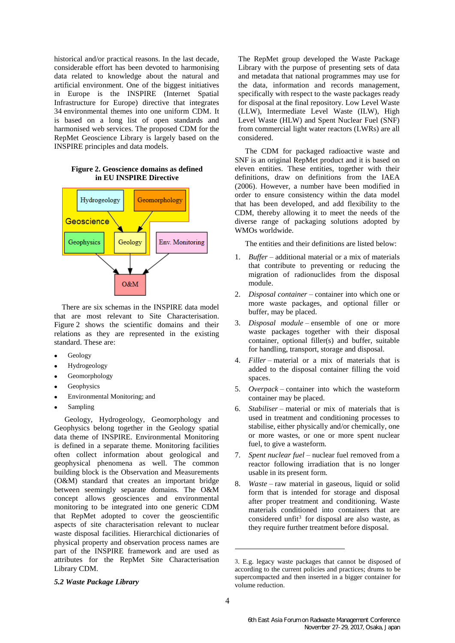historical and/or practical reasons. In the last decade, considerable effort has been devoted to harmonising data related to knowledge about the natural and artificial environment. One of the biggest initiatives in Europe is the INSPIRE (Internet Spatial Infrastructure for Europe) directive that integrates 34 environmental themes into one uniform CDM. It is based on a long list of open standards and harmonised web services. The proposed CDM for the RepMet Geoscience Library is largely based on the INSPIRE principles and data models.

### **Figure 2. Geoscience domains as defined in EU INSPIRE Directive**



There are six schemas in the INSPIRE data model that are most relevant to Site Characterisation. Figure 2 shows the scientific domains and their relations as they are represented in the existing standard. These are:

- **Geology**
- Hydrogeology
- Geomorphology
- **Geophysics**
- Environmental Monitoring; and
- Sampling

Geology, Hydrogeology, Geomorphology and Geophysics belong together in the Geology spatial data theme of INSPIRE. Environmental Monitoring is defined in a separate theme. Monitoring facilities often collect information about geological and geophysical phenomena as well. The common building block is the Observation and Measurements (O&M) standard that creates an important bridge between seemingly separate domains. The O&M concept allows geosciences and environmental monitoring to be integrated into one generic CDM that RepMet adopted to cover the geoscientific aspects of site characterisation relevant to nuclear waste disposal facilities. Hierarchical dictionaries of physical property and observation process names are part of the INSPIRE framework and are used as attributes for the RepMet Site Characterisation Library CDM.

The RepMet group developed the Waste Package Library with the purpose of presenting sets of data and metadata that national programmes may use for the data, information and records management, specifically with respect to the waste packages ready for disposal at the final repository. Low Level Waste (LLW), Intermediate Level Waste (ILW), High Level Waste (HLW) and Spent Nuclear Fuel (SNF) from commercial light water reactors (LWRs) are all considered.

The CDM for packaged radioactive waste and SNF is an original RepMet product and it is based on eleven entities. These entities, together with their definitions, draw on definitions from the IAEA (2006). However, a number have been modified in order to ensure consistency within the data model that has been developed, and add flexibility to the CDM, thereby allowing it to meet the needs of the diverse range of packaging solutions adopted by WMOs worldwide.

The entities and their definitions are listed below:

- 1. *Buffer* additional material or a mix of materials that contribute to preventing or reducing the migration of radionuclides from the disposal module.
- 2. *Disposal container* container into which one or more waste packages, and optional filler or buffer, may be placed.
- 3. *Disposal module* ensemble of one or more waste packages together with their disposal container, optional filler(s) and buffer, suitable for handling, transport, storage and disposal.
- 4. *Filler* material or a mix of materials that is added to the disposal container filling the void spaces.
- 5. *Overpack* container into which the wasteform container may be placed.
- 6. *Stabiliser* material or mix of materials that is used in treatment and conditioning processes to stabilise, either physically and/or chemically, one or more wastes, or one or more spent nuclear fuel, to give a wasteform.
- 7. *Spent nuclear fuel* nuclear fuel removed from a reactor following irradiation that is no longer usable in its present form.
- 8. *Waste* raw material in gaseous, liquid or solid form that is intended for storage and disposal after proper treatment and conditioning. Waste materials conditioned into containers that are considered unfit<sup>3</sup> for disposal are also waste, as they require further treatment before disposal.

# *5.2 Waste Package Library*

-

<sup>3</sup>. E.g. legacy waste packages that cannot be disposed of according to the current policies and practices; drums to be supercompacted and then inserted in a bigger container for volume reduction.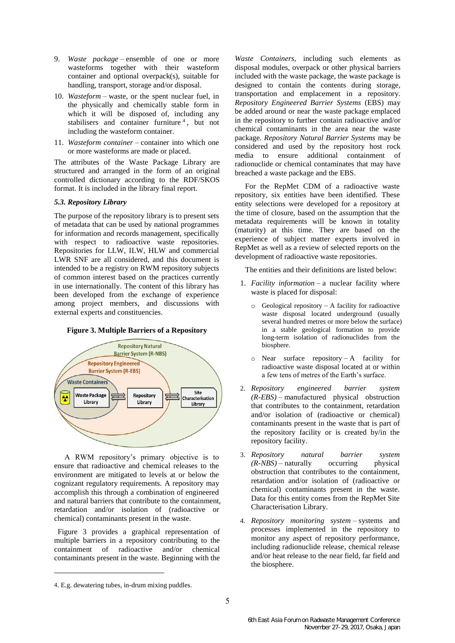- 9. *Waste package* ensemble of one or more wasteforms together with their wasteform container and optional overpack(s), suitable for handling, transport, storage and/or disposal.
- 10. *Wasteform* waste, or the spent nuclear fuel, in the physically and chemically stable form in which it will be disposed of, including any stabilisers and container furniture  $4$ , but not including the wasteform container.
- 11. *Wasteform container* container into which one or more wasteforms are made or placed.

The attributes of the Waste Package Library are structured and arranged in the form of an original controlled dictionary according to the RDF/SKOS format. It is included in the library final report.

## *5.3. Repository Library*

The purpose of the repository library is to present sets of metadata that can be used by national programmes for information and records management, specifically with respect to radioactive waste repositories. Repositories for LLW, ILW, HLW and commercial LWR SNF are all considered, and this document is intended to be a registry on RWM repository subjects of common interest based on the practices currently in use internationally. The content of this library has been developed from the exchange of experience among project members, and discussions with external experts and constituencies.



A RWM repository's primary objective is to ensure that radioactive and chemical releases to the environment are mitigated to levels at or below the cognizant regulatory requirements. A repository may accomplish this through a combination of engineered and natural barriers that contribute to the containment, retardation and/or isolation of (radioactive or chemical) contaminants present in the waste.

Figure 3 provides a graphical representation of multiple barriers in a repository contributing to the containment of radioactive and/or chemical contaminants present in the waste. Beginning with the

 $\overline{a}$ 

*Waste Containers*, including such elements as disposal modules, overpack or other physical barriers included with the waste package, the waste package is designed to contain the contents during storage, transportation and emplacement in a repository. *Repository Engineered Barrier Systems* (EBS) may be added around or near the waste package emplaced in the repository to further contain radioactive and/or chemical contaminants in the area near the waste package. *Repository Natural Barrier Systems* may be considered and used by the repository host rock media to ensure additional containment of radionuclide or chemical contaminates that may have breached a waste package and the EBS.

For the RepMet CDM of a radioactive waste repository, six entities have been identified. These entity selections were developed for a repository at the time of closure, based on the assumption that the metadata requirements will be known in totality (maturity) at this time. They are based on the experience of subject matter experts involved in RepMet as well as a review of selected reports on the development of radioactive waste repositories.

The entities and their definitions are listed below:

- 1. *Facility information* a nuclear facility where waste is placed for disposal:
	- $\circ$  Geological repository A facility for radioactive waste disposal located underground (usually several hundred metres or more below the surface) in a stable geological formation to provide long-term isolation of radionuclides from the biosphere.
	- $\circ$  Near surface repository A facility for radioactive waste disposal located at or within a few tens of metres of the Earth's surface.
- 2. *Repository engineered barrier system (R-EBS)* – manufactured physical obstruction that contributes to the containment, retardation and/or isolation of (radioactive or chemical) contaminants present in the waste that is part of the repository facility or is created by/in the repository facility.
- 3. *Repository natural barrier system*   $(R\text{-}NBS)$  – naturally obstruction that contributes to the containment, retardation and/or isolation of (radioactive or chemical) contaminants present in the waste. Data for this entity comes from the RepMet Site Characterisation Library.
- 4. *Repository monitoring system* systems and processes implemented in the repository to monitor any aspect of repository performance, including radionuclide release, chemical release and/or heat release to the near field, far field and the biosphere.

<sup>4</sup>. E.g. dewatering tubes, in-drum mixing puddles.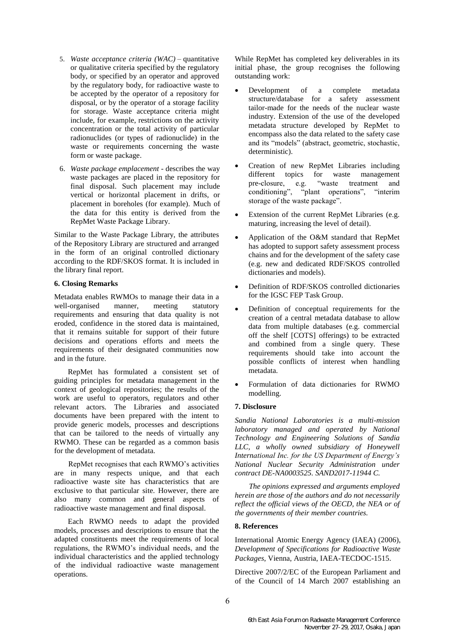- 5. *Waste acceptance criteria (WAC)* quantitative or qualitative criteria specified by the regulatory body, or specified by an operator and approved by the regulatory body, for radioactive waste to be accepted by the operator of a repository for disposal, or by the operator of a storage facility for storage. Waste acceptance criteria might include, for example, restrictions on the activity concentration or the total activity of particular radionuclides (or types of radionuclide) in the waste or requirements concerning the waste form or waste package.
- 6. *Waste package emplacement* describes the way waste packages are placed in the repository for final disposal. Such placement may include vertical or horizontal placement in drifts, or placement in boreholes (for example). Much of the data for this entity is derived from the RepMet Waste Package Library.

Similar to the Waste Package Library, the attributes of the Repository Library are structured and arranged in the form of an original controlled dictionary according to the RDF/SKOS format. It is included in the library final report.

## **6. Closing Remarks**

Metadata enables RWMOs to manage their data in a well-organised manner, meeting statutory requirements and ensuring that data quality is not eroded, confidence in the stored data is maintained, that it remains suitable for support of their future decisions and operations efforts and meets the requirements of their designated communities now and in the future.

RepMet has formulated a consistent set of guiding principles for metadata management in the context of geological repositories; the results of the work are useful to operators, regulators and other relevant actors. The Libraries and associated documents have been prepared with the intent to provide generic models, processes and descriptions that can be tailored to the needs of virtually any RWMO. These can be regarded as a common basis for the development of metadata.

RepMet recognises that each RWMO's activities are in many respects unique, and that each radioactive waste site has characteristics that are exclusive to that particular site. However, there are also many common and general aspects of radioactive waste management and final disposal.

Each RWMO needs to adapt the provided models, processes and descriptions to ensure that the adapted constituents meet the requirements of local regulations, the RWMO's individual needs, and the individual characteristics and the applied technology of the individual radioactive waste management operations.

While RepMet has completed key deliverables in its initial phase, the group recognises the following outstanding work:

- Development of a complete metadata structure/database for a safety assessment tailor-made for the needs of the nuclear waste industry. Extension of the use of the developed metadata structure developed by RepMet to encompass also the data related to the safety case and its "models" (abstract, geometric, stochastic, deterministic).
- Creation of new RepMet Libraries including different topics for waste management<br>pre-closure, e.g. "waste treatment and "waste treatment and conditioning", "plant operations", "interim storage of the waste package".
- Extension of the current RepMet Libraries (e.g. maturing, increasing the level of detail).
- Application of the O&M standard that RepMet has adopted to support safety assessment process chains and for the development of the safety case (e.g. new and dedicated RDF/SKOS controlled dictionaries and models).
- Definition of RDF/SKOS controlled dictionaries for the IGSC FEP Task Group.
- Definition of conceptual requirements for the creation of a central metadata database to allow data from multiple databases (e.g. commercial off the shelf [COTS] offerings) to be extracted and combined from a single query. These requirements should take into account the possible conflicts of interest when handling metadata.
- Formulation of data dictionaries for RWMO modelling.

#### **7. Disclosure**

*Sandia National Laboratories is a multi-mission laboratory managed and operated by National Technology and Engineering Solutions of Sandia LLC, a wholly owned subsidiary of Honeywell International Inc. for the US Department of Energy's National Nuclear Security Administration under contract DE-NA0003525. SAND2017-11944 C.*

*The opinions expressed and arguments employed herein are those of the authors and do not necessarily reflect the official views of the OECD, the NEA or of the governments of their member countries.* 

#### **8. References**

International Atomic Energy Agency (IAEA) (2006), *Development of Specifications for Radioactive Waste Packages*, Vienna, Austria, IAEA-TECDOC-1515.

Directive 2007/2/EC of the European Parliament and of the Council of 14 March 2007 establishing an